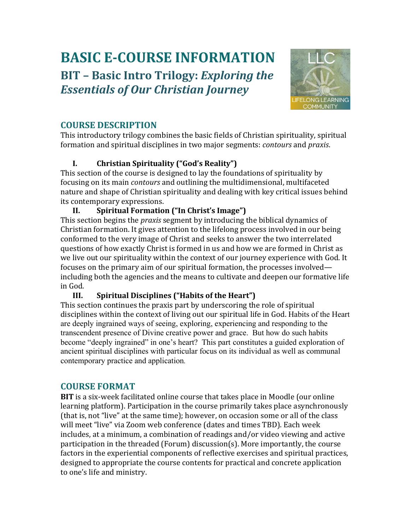# **BASIC E-COURSE INFORMATION BIT – Basic Intro Trilogy:** *Exploring the Essentials of Our Christian Journey*



# **COURSE DESCRIPTION**

This introductory trilogy combines the basic fields of Christian spirituality, spiritual formation and spiritual disciplines in two major segments: *contours* and *praxis*.

## **I. Christian Spirituality ("God's Reality")**

This section of the course is designed to lay the foundations of spirituality by focusing on its main *contours* and outlining the multidimensional, multifaceted nature and shape of Christian spirituality and dealing with key critical issues behind its contemporary expressions.

## **II. Spiritual Formation ("In Christ's Image")**

This section begins the *praxis* segment by introducing the biblical dynamics of Christian formation. It gives attention to the lifelong process involved in our being conformed to the very image of Christ and seeks to answer the two interrelated questions of how exactly Christ is formed in us and how we are formed in Christ as we live out our spirituality within the context of our journey experience with God. It focuses on the primary aim of our spiritual formation, the processes involved including both the agencies and the means to cultivate and deepen our formative life in God.

## **III. Spiritual Disciplines ("Habits of the Heart")**

This section continues the praxis part by underscoring the role of spiritual disciplines within the context of living out our spiritual life in God. Habits of the Heart are deeply ingrained ways of seeing, exploring, experiencing and responding to the transcendent presence of Divine creative power and grace. But how do such habits become "deeply ingrained" in one's heart? This part constitutes a guided exploration of ancient spiritual disciplines with particular focus on its individual as well as communal contemporary practice and application*.*

## **COURSE FORMAT**

**BIT** is a six-week facilitated online course that takes place in Moodle (our online learning platform). Participation in the course primarily takes place asynchronously (that is, not "live" at the same time); however, on occasion some or all of the class will meet "live" via Zoom web conference (dates and times TBD). Each week includes, at a minimum, a combination of readings and/or video viewing and active participation in the threaded (Forum) discussion(s). More importantly, the course factors in the experiential components of reflective exercises and spiritual practices, designed to appropriate the course contents for practical and concrete application to one's life and ministry.